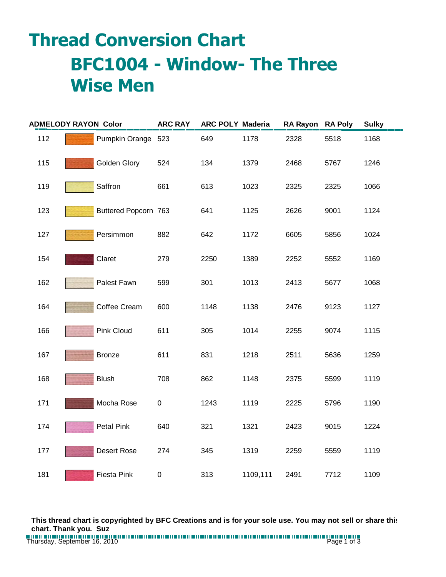## **Thread Conversion Chart BFC1004 - Window- The Three Wise Men**

| <b>ADMELODY RAYON Color</b> |  | <b>ARC RAY</b>       | <b>ARC POLY Maderia</b> |      | RA Rayon RA Poly |      | <b>Sulky</b> |      |
|-----------------------------|--|----------------------|-------------------------|------|------------------|------|--------------|------|
| 112                         |  | Pumpkin Orange 523   |                         | 649  | 1178             | 2328 | 5518         | 1168 |
| 115                         |  | Golden Glory         | 524                     | 134  | 1379             | 2468 | 5767         | 1246 |
| 119                         |  | Saffron              | 661                     | 613  | 1023             | 2325 | 2325         | 1066 |
| 123                         |  | Buttered Popcorn 763 |                         | 641  | 1125             | 2626 | 9001         | 1124 |
| 127                         |  | Persimmon            | 882                     | 642  | 1172             | 6605 | 5856         | 1024 |
| 154                         |  | Claret               | 279                     | 2250 | 1389             | 2252 | 5552         | 1169 |
| 162                         |  | Palest Fawn          | 599                     | 301  | 1013             | 2413 | 5677         | 1068 |
| 164                         |  | Coffee Cream         | 600                     | 1148 | 1138             | 2476 | 9123         | 1127 |
| 166                         |  | <b>Pink Cloud</b>    | 611                     | 305  | 1014             | 2255 | 9074         | 1115 |
| 167                         |  | <b>Bronze</b>        | 611                     | 831  | 1218             | 2511 | 5636         | 1259 |
| 168                         |  | <b>Blush</b>         | 708                     | 862  | 1148             | 2375 | 5599         | 1119 |
| 171                         |  | Mocha Rose           | 0                       | 1243 | 1119             | 2225 | 5796         | 1190 |
| 174                         |  | Petal Pink           | 640                     | 321  | 1321             | 2423 | 9015         | 1224 |
| 177                         |  | <b>Desert Rose</b>   | 274                     | 345  | 1319             | 2259 | 5559         | 1119 |
| 181                         |  | Fiesta Pink          | 0                       | 313  | 1109,111         | 2491 | 7712         | 1109 |

**This thread chart is copyrighted by BFC Creations and is for your sole use. You may not sell or share this chart. Thank you. Suz**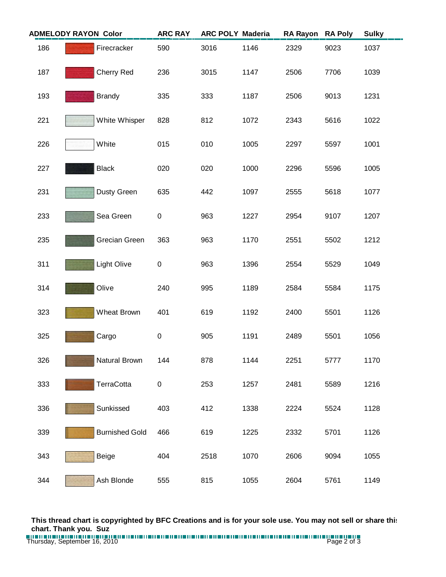| <b>ADMELODY RAYON Color</b> |                       | <b>ARC RAY</b> | <b>ARC POLY Maderia</b> |      | <b>RA Rayon</b> | <b>RA Poly</b> | <b>Sulky</b> |
|-----------------------------|-----------------------|----------------|-------------------------|------|-----------------|----------------|--------------|
| 186                         | Firecracker           | 590            | 3016                    | 1146 | 2329            | 9023           | 1037         |
| 187                         | Cherry Red            | 236            | 3015                    | 1147 | 2506            | 7706           | 1039         |
| 193                         | <b>Brandy</b>         | 335            | 333                     | 1187 | 2506            | 9013           | 1231         |
| 221                         | White Whisper         | 828            | 812                     | 1072 | 2343            | 5616           | 1022         |
| 226                         | White                 | 015            | 010                     | 1005 | 2297            | 5597           | 1001         |
| 227                         | <b>Black</b>          | 020            | 020                     | 1000 | 2296            | 5596           | 1005         |
| 231                         | Dusty Green           | 635            | 442                     | 1097 | 2555            | 5618           | 1077         |
| 233                         | Sea Green             | 0              | 963                     | 1227 | 2954            | 9107           | 1207         |
| 235                         | <b>Grecian Green</b>  | 363            | 963                     | 1170 | 2551            | 5502           | 1212         |
| 311                         | <b>Light Olive</b>    | 0              | 963                     | 1396 | 2554            | 5529           | 1049         |
| 314                         | Olive                 | 240            | 995                     | 1189 | 2584            | 5584           | 1175         |
| 323                         | Wheat Brown           | 401            | 619                     | 1192 | 2400            | 5501           | 1126         |
| 325                         | Cargo                 | $\pmb{0}$      | 905                     | 1191 | 2489            | 5501           | 1056         |
| 326                         | Natural Brown         | 144            | 878                     | 1144 | 2251            | 5777           | 1170         |
| 333                         | TerraCotta            | 0              | 253                     | 1257 | 2481            | 5589           | 1216         |
| 336                         | Sunkissed             | 403            | 412                     | 1338 | 2224            | 5524           | 1128         |
| 339                         | <b>Burnished Gold</b> | 466            | 619                     | 1225 | 2332            | 5701           | 1126         |
| 343                         | Beige                 | 404            | 2518                    | 1070 | 2606            | 9094           | 1055         |
| 344                         | Ash Blonde            | 555            | 815                     | 1055 | 2604            | 5761           | 1149         |

**This thread chart is copyrighted by BFC Creations and is for your sole use. You may not sell or share this chart. Thank you. Suz**